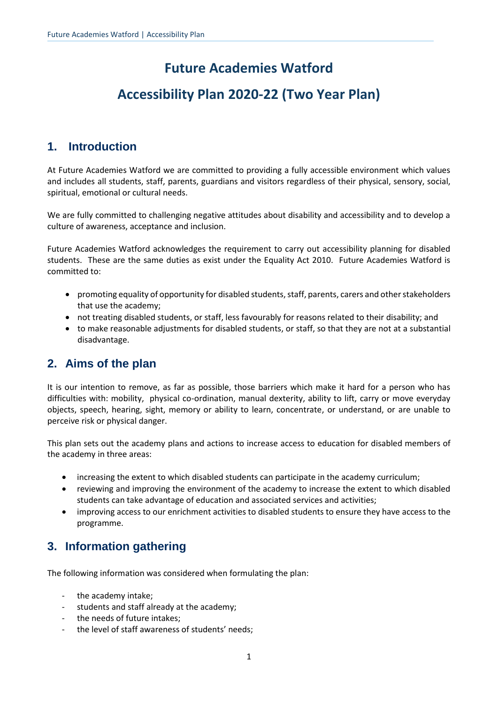## **Future Academies Watford**

# **Accessibility Plan 2020-22 (Two Year Plan)**

### **1. Introduction**

At Future Academies Watford we are committed to providing a fully accessible environment which values and includes all students, staff, parents, guardians and visitors regardless of their physical, sensory, social, spiritual, emotional or cultural needs.

We are fully committed to challenging negative attitudes about disability and accessibility and to develop a culture of awareness, acceptance and inclusion.

Future Academies Watford acknowledges the requirement to carry out accessibility planning for disabled students. These are the same duties as exist under the Equality Act 2010. Future Academies Watford is committed to:

- promoting equality of opportunity for disabled students, staff, parents, carers and other stakeholders that use the academy;
- not treating disabled students, or staff, less favourably for reasons related to their disability; and
- to make reasonable adjustments for disabled students, or staff, so that they are not at a substantial disadvantage.

#### **2. Aims of the plan**

It is our intention to remove, as far as possible, those barriers which make it hard for a person who has difficulties with: mobility, physical co-ordination, manual dexterity, ability to lift, carry or move everyday objects, speech, hearing, sight, memory or ability to learn, concentrate, or understand, or are unable to perceive risk or physical danger.

This plan sets out the academy plans and actions to increase access to education for disabled members of the academy in three areas:

- increasing the extent to which disabled students can participate in the academy curriculum;
- reviewing and improving the environment of the academy to increase the extent to which disabled students can take advantage of education and associated services and activities;
- improving access to our enrichment activities to disabled students to ensure they have access to the programme.

### **3. Information gathering**

The following information was considered when formulating the plan:

- the academy intake;
- students and staff already at the academy;
- the needs of future intakes;
- the level of staff awareness of students' needs;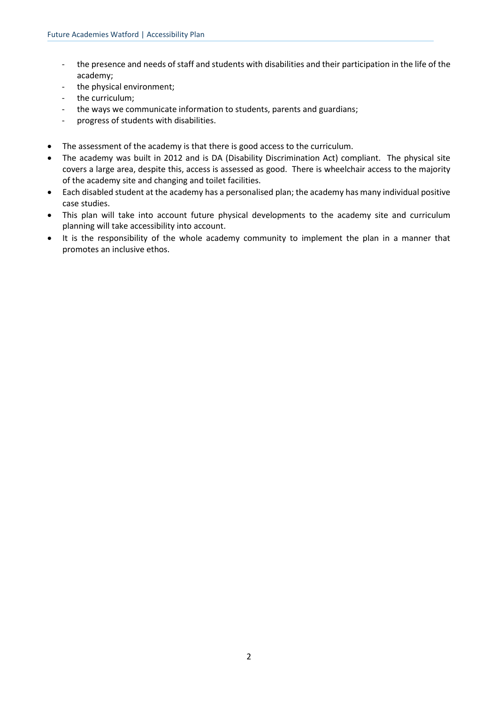- the presence and needs of staff and students with disabilities and their participation in the life of the academy;
- the physical environment;
- the curriculum;
- the ways we communicate information to students, parents and guardians;
- progress of students with disabilities.
- The assessment of the academy is that there is good access to the curriculum.
- The academy was built in 2012 and is DA (Disability Discrimination Act) compliant. The physical site covers a large area, despite this, access is assessed as good. There is wheelchair access to the majority of the academy site and changing and toilet facilities.
- Each disabled student at the academy has a personalised plan; the academy has many individual positive case studies.
- This plan will take into account future physical developments to the academy site and curriculum planning will take accessibility into account.
- It is the responsibility of the whole academy community to implement the plan in a manner that promotes an inclusive ethos.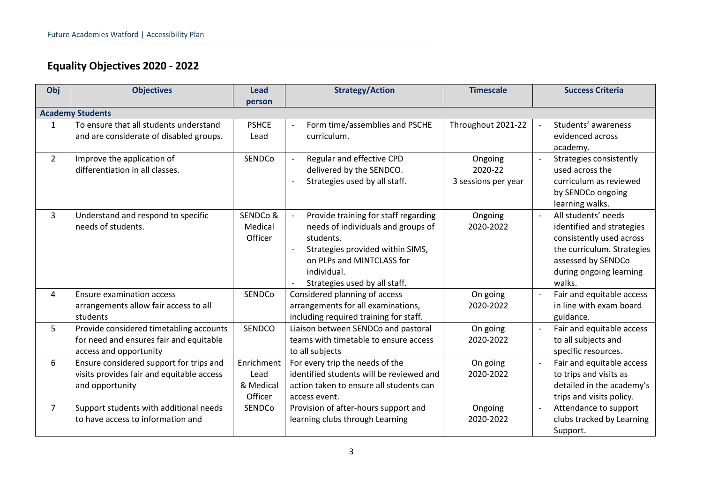# **Equality Objectives 2020 - 2022**

| Obj                               | <b>Objectives</b>                                                                                            | Lead                                       | <b>Strategy/Action</b>                                                                                                                                                                                   | <b>Timescale</b>                          | <b>Success Criteria</b>                                                                                                                                               |  |  |  |
|-----------------------------------|--------------------------------------------------------------------------------------------------------------|--------------------------------------------|----------------------------------------------------------------------------------------------------------------------------------------------------------------------------------------------------------|-------------------------------------------|-----------------------------------------------------------------------------------------------------------------------------------------------------------------------|--|--|--|
| person<br><b>Academy Students</b> |                                                                                                              |                                            |                                                                                                                                                                                                          |                                           |                                                                                                                                                                       |  |  |  |
| $\mathbf{1}$                      | To ensure that all students understand<br>and are considerate of disabled groups.                            | <b>PSHCE</b><br>Lead                       | Form time/assemblies and PSCHE<br>curriculum.                                                                                                                                                            | Throughout 2021-22                        | Students' awareness<br>evidenced across<br>academy.                                                                                                                   |  |  |  |
| $\overline{2}$                    | Improve the application of<br>differentiation in all classes.                                                | SENDCo                                     | Regular and effective CPD<br>delivered by the SENDCO.<br>Strategies used by all staff.                                                                                                                   | Ongoing<br>2020-22<br>3 sessions per year | Strategies consistently<br>used across the<br>curriculum as reviewed<br>by SENDCo ongoing<br>learning walks.                                                          |  |  |  |
| $\overline{3}$                    | Understand and respond to specific<br>needs of students.                                                     | SENDCo &<br>Medical<br>Officer             | Provide training for staff regarding<br>needs of individuals and groups of<br>students.<br>Strategies provided within SIMS,<br>on PLPs and MINTCLASS for<br>individual.<br>Strategies used by all staff. | Ongoing<br>2020-2022                      | All students' needs<br>identified and strategies<br>consistently used across<br>the curriculum. Strategies<br>assessed by SENDCo<br>during ongoing learning<br>walks. |  |  |  |
| 4                                 | Ensure examination access<br>arrangements allow fair access to all<br>students                               | SENDCo                                     | Considered planning of access<br>arrangements for all examinations,<br>including required training for staff.                                                                                            | On going<br>2020-2022                     | Fair and equitable access<br>in line with exam board<br>guidance.                                                                                                     |  |  |  |
| 5                                 | Provide considered timetabling accounts<br>for need and ensures fair and equitable<br>access and opportunity | SENDCO                                     | Liaison between SENDCo and pastoral<br>teams with timetable to ensure access<br>to all subjects                                                                                                          | On going<br>2020-2022                     | Fair and equitable access<br>to all subjects and<br>specific resources.                                                                                               |  |  |  |
| 6                                 | Ensure considered support for trips and<br>visits provides fair and equitable access<br>and opportunity      | Enrichment<br>Lead<br>& Medical<br>Officer | For every trip the needs of the<br>identified students will be reviewed and<br>action taken to ensure all students can<br>access event.                                                                  | On going<br>2020-2022                     | Fair and equitable access<br>to trips and visits as<br>detailed in the academy's<br>trips and visits policy.                                                          |  |  |  |
| $\overline{7}$                    | Support students with additional needs<br>to have access to information and                                  | SENDCo                                     | Provision of after-hours support and<br>learning clubs through Learning                                                                                                                                  | Ongoing<br>2020-2022                      | Attendance to support<br>clubs tracked by Learning<br>Support.                                                                                                        |  |  |  |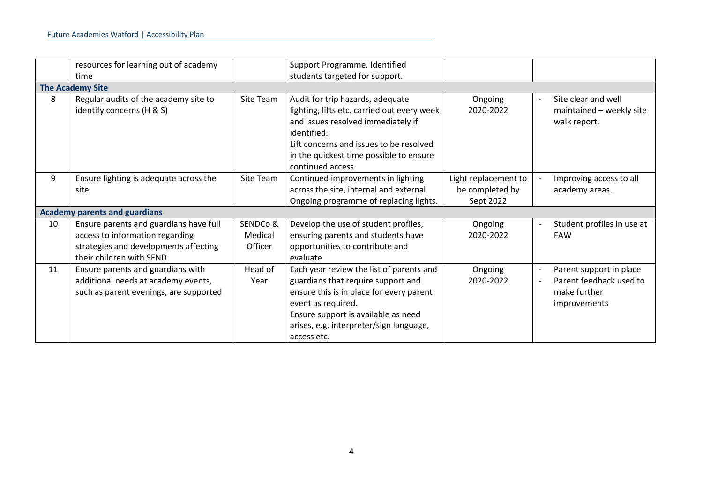|                                      | resources for learning out of academy                                                                                                          |                                | Support Programme. Identified                                                                                                                                                                                                                     |                                                      |  |                                                                                    |  |  |  |
|--------------------------------------|------------------------------------------------------------------------------------------------------------------------------------------------|--------------------------------|---------------------------------------------------------------------------------------------------------------------------------------------------------------------------------------------------------------------------------------------------|------------------------------------------------------|--|------------------------------------------------------------------------------------|--|--|--|
|                                      | time                                                                                                                                           |                                | students targeted for support.                                                                                                                                                                                                                    |                                                      |  |                                                                                    |  |  |  |
| <b>The Academy Site</b>              |                                                                                                                                                |                                |                                                                                                                                                                                                                                                   |                                                      |  |                                                                                    |  |  |  |
| 8                                    | Regular audits of the academy site to<br>identify concerns (H & S)                                                                             | Site Team                      | Audit for trip hazards, adequate<br>lighting, lifts etc. carried out every week<br>and issues resolved immediately if<br>identified.<br>Lift concerns and issues to be resolved<br>in the quickest time possible to ensure<br>continued access.   | Ongoing<br>2020-2022                                 |  | Site clear and well<br>maintained - weekly site<br>walk report.                    |  |  |  |
| 9                                    | Ensure lighting is adequate across the<br>site                                                                                                 | Site Team                      | Continued improvements in lighting<br>across the site, internal and external.<br>Ongoing programme of replacing lights.                                                                                                                           | Light replacement to<br>be completed by<br>Sept 2022 |  | Improving access to all<br>academy areas.                                          |  |  |  |
| <b>Academy parents and guardians</b> |                                                                                                                                                |                                |                                                                                                                                                                                                                                                   |                                                      |  |                                                                                    |  |  |  |
| 10                                   | Ensure parents and guardians have full<br>access to information regarding<br>strategies and developments affecting<br>their children with SEND | SENDCo &<br>Medical<br>Officer | Develop the use of student profiles,<br>ensuring parents and students have<br>opportunities to contribute and<br>evaluate                                                                                                                         | Ongoing<br>2020-2022                                 |  | Student profiles in use at<br><b>FAW</b>                                           |  |  |  |
| 11                                   | Ensure parents and guardians with<br>additional needs at academy events,<br>such as parent evenings, are supported                             | Head of<br>Year                | Each year review the list of parents and<br>guardians that require support and<br>ensure this is in place for every parent<br>event as required.<br>Ensure support is available as need<br>arises, e.g. interpreter/sign language,<br>access etc. | Ongoing<br>2020-2022                                 |  | Parent support in place<br>Parent feedback used to<br>make further<br>improvements |  |  |  |